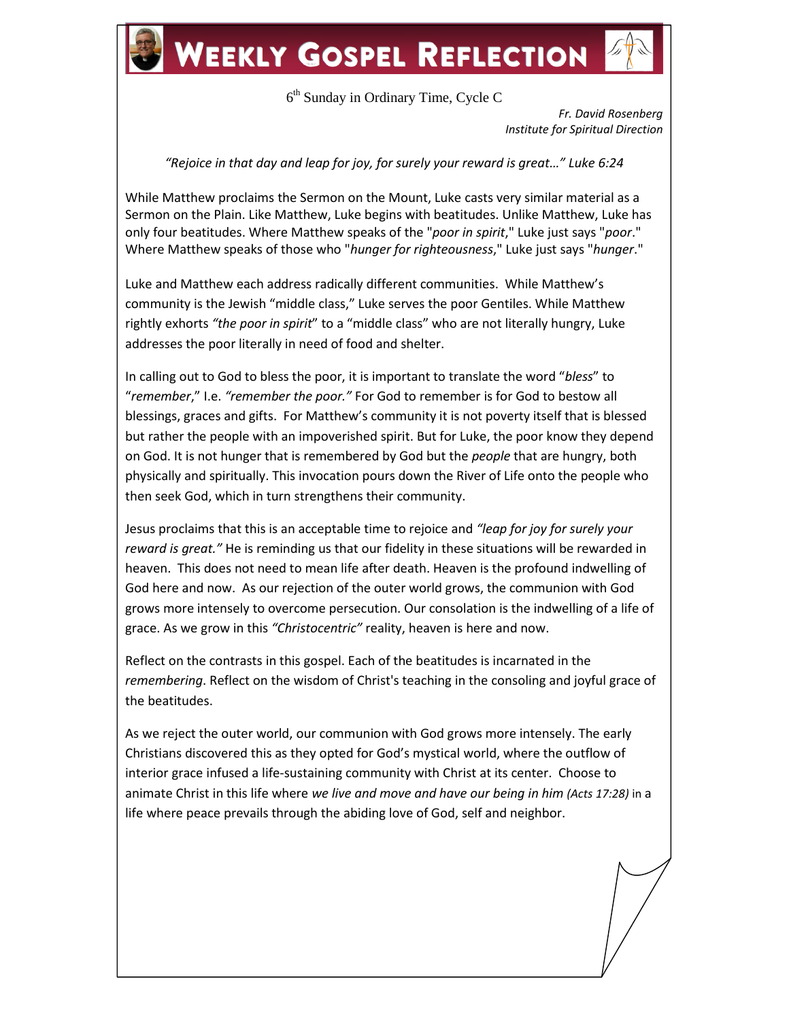6<sup>th</sup> Sunday in Ordinary Time, Cycle C

*Fr. David Rosenberg Institute for Spiritual Direction*

*"Rejoice in that day and leap for joy, for surely your reward is great…" Luke 6:24*

While Matthew proclaims the Sermon on the Mount, Luke casts very similar material as a Sermon on the Plain. Like Matthew, Luke begins with beatitudes. Unlike Matthew, Luke has only four beatitudes. Where Matthew speaks of the "*poor in spirit*," Luke just says "*poor*." Where Matthew speaks of those who "*hunger for righteousness*," Luke just says "*hunger*."

Luke and Matthew each address radically different communities. While Matthew's community is the Jewish "middle class," Luke serves the poor Gentiles. While Matthew rightly exhorts *"the poor in spirit*" to a "middle class" who are not literally hungry, Luke addresses the poor literally in need of food and shelter.

In calling out to God to bless the poor, it is important to translate the word "*bless*" to "*remember*," I.e. *"remember the poor."* For God to remember is for God to bestow all blessings, graces and gifts. For Matthew's community it is not poverty itself that is blessed but rather the people with an impoverished spirit. But for Luke, the poor know they depend on God. It is not hunger that is remembered by God but the *people* that are hungry, both physically and spiritually. This invocation pours down the River of Life onto the people who then seek God, which in turn strengthens their community.

Jesus proclaims that this is an acceptable time to rejoice and *"leap for joy for surely your reward is great."* He is reminding us that our fidelity in these situations will be rewarded in heaven. This does not need to mean life after death. Heaven is the profound indwelling of God here and now. As our rejection of the outer world grows, the communion with God grows more intensely to overcome persecution. Our consolation is the indwelling of a life of grace. As we grow in this *"Christocentric"* reality, heaven is here and now.

Reflect on the contrasts in this gospel. Each of the beatitudes is incarnated in the *remembering*. Reflect on the wisdom of Christ's teaching in the consoling and joyful grace of the beatitudes.

As we reject the outer world, our communion with God grows more intensely. The early Christians discovered this as they opted for God's mystical world, where the outflow of interior grace infused a life-sustaining community with Christ at its center. Choose to animate Christ in this life where *we live and move and have our being in him (Acts 17:28)* in a life where peace prevails through the abiding love of God, self and neighbor.